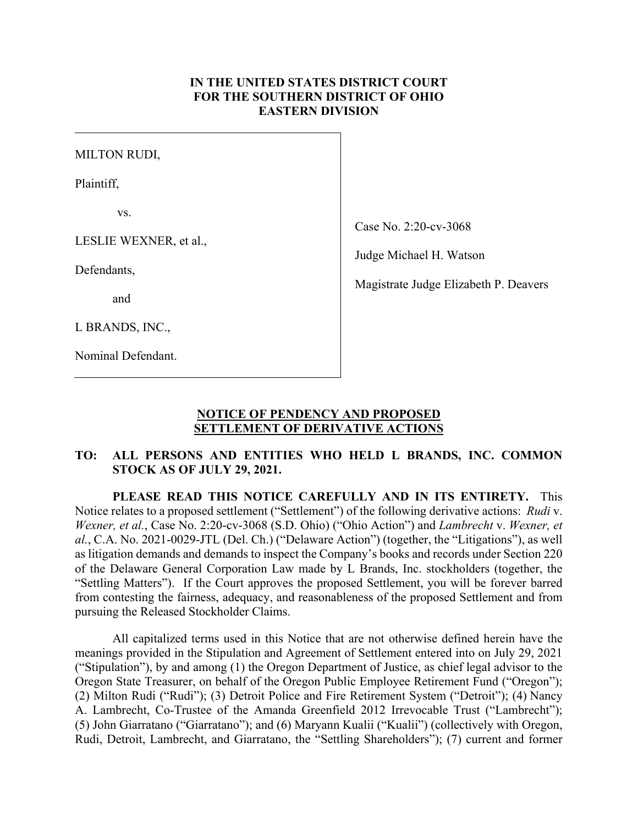#### **IN THE UNITED STATES DISTRICT COURT FOR THE SOUTHERN DISTRICT OF OHIO EASTERN DIVISION**

 $\overline{\phantom{a}}$ 

MILTON RUDI,

Plaintiff,

vs.

LESLIE WEXNER, et al.,

Defendants,

and

L BRANDS, INC.,

Nominal Defendant.

Case No. 2:20-cv-3068

Judge Michael H. Watson

Magistrate Judge Elizabeth P. Deavers

#### **NOTICE OF PENDENCY AND PROPOSED SETTLEMENT OF DERIVATIVE ACTIONS**

## **TO: ALL PERSONS AND ENTITIES WHO HELD L BRANDS, INC. COMMON STOCK AS OF JULY 29, 2021.**

**PLEASE READ THIS NOTICE CAREFULLY AND IN ITS ENTIRETY.** This Notice relates to a proposed settlement ("Settlement") of the following derivative actions: *Rudi* v. *Wexner, et al.*, Case No. 2:20-cv-3068 (S.D. Ohio) ("Ohio Action") and *Lambrecht* v. *Wexner, et al.*, C.A. No. 2021-0029-JTL (Del. Ch.) ("Delaware Action") (together, the "Litigations"), as well as litigation demands and demands to inspect the Company's books and records under Section 220 of the Delaware General Corporation Law made by L Brands, Inc. stockholders (together, the "Settling Matters"). If the Court approves the proposed Settlement, you will be forever barred from contesting the fairness, adequacy, and reasonableness of the proposed Settlement and from pursuing the Released Stockholder Claims.

All capitalized terms used in this Notice that are not otherwise defined herein have the meanings provided in the Stipulation and Agreement of Settlement entered into on July 29, 2021 ("Stipulation"), by and among (1) the Oregon Department of Justice, as chief legal advisor to the Oregon State Treasurer, on behalf of the Oregon Public Employee Retirement Fund ("Oregon"); (2) Milton Rudi ("Rudi"); (3) Detroit Police and Fire Retirement System ("Detroit"); (4) Nancy A. Lambrecht, Co-Trustee of the Amanda Greenfield 2012 Irrevocable Trust ("Lambrecht"); (5) John Giarratano ("Giarratano"); and (6) Maryann Kualii ("Kualii") (collectively with Oregon, Rudi, Detroit, Lambrecht, and Giarratano, the "Settling Shareholders"); (7) current and former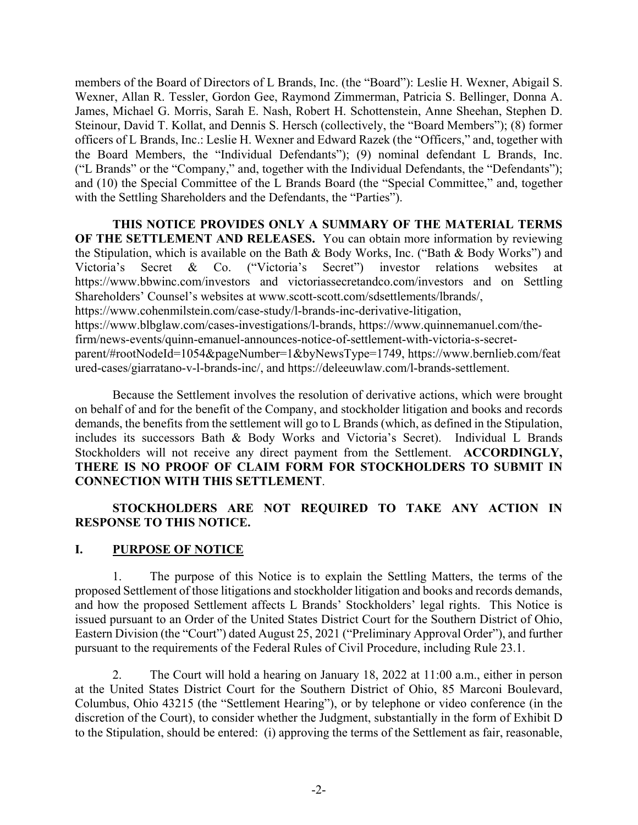members of the Board of Directors of L Brands, Inc. (the "Board"): Leslie H. Wexner, Abigail S. Wexner, Allan R. Tessler, Gordon Gee, Raymond Zimmerman, Patricia S. Bellinger, Donna A. James, Michael G. Morris, Sarah E. Nash, Robert H. Schottenstein, Anne Sheehan, Stephen D. Steinour, David T. Kollat, and Dennis S. Hersch (collectively, the "Board Members"); (8) former officers of L Brands, Inc.: Leslie H. Wexner and Edward Razek (the "Officers," and, together with the Board Members, the "Individual Defendants"); (9) nominal defendant L Brands, Inc. ("L Brands" or the "Company," and, together with the Individual Defendants, the "Defendants"); and (10) the Special Committee of the L Brands Board (the "Special Committee," and, together with the Settling Shareholders and the Defendants, the "Parties").

**THIS NOTICE PROVIDES ONLY A SUMMARY OF THE MATERIAL TERMS OF THE SETTLEMENT AND RELEASES.** You can obtain more information by reviewing the Stipulation, which is available on the Bath & Body Works, Inc. ("Bath & Body Works") and Victoria's Secret & Co. ("Victoria's Secret") investor relations websites at https://www.bbwinc.com/investors and victoriassecretandco.com/investors and on Settling Shareholders' Counsel's websites at www.scott-scott.com/sdsettlements/lbrands/, https://www.cohenmilstein.com/case-study/l-brands-inc-derivative-litigation,

https://www.blbglaw.com/cases-investigations/l-brands, https://www.quinnemanuel.com/the-

firm/news-events/quinn-emanuel-announces-notice-of-settlement-with-victoria-s-secret-

parent/#rootNodeId=1054&pageNumber=1&byNewsType=1749, https://www.bernlieb.com/feat ured-cases/giarratano-v-l-brands-inc/, and https://deleeuwlaw.com/l-brands-settlement.

Because the Settlement involves the resolution of derivative actions, which were brought on behalf of and for the benefit of the Company, and stockholder litigation and books and records demands, the benefits from the settlement will go to L Brands (which, as defined in the Stipulation, includes its successors Bath & Body Works and Victoria's Secret). Individual L Brands Stockholders will not receive any direct payment from the Settlement. **ACCORDINGLY, THERE IS NO PROOF OF CLAIM FORM FOR STOCKHOLDERS TO SUBMIT IN CONNECTION WITH THIS SETTLEMENT**.

## **STOCKHOLDERS ARE NOT REQUIRED TO TAKE ANY ACTION IN RESPONSE TO THIS NOTICE.**

#### **I. PURPOSE OF NOTICE**

1. The purpose of this Notice is to explain the Settling Matters, the terms of the proposed Settlement of those litigations and stockholder litigation and books and records demands, and how the proposed Settlement affects L Brands' Stockholders' legal rights. This Notice is issued pursuant to an Order of the United States District Court for the Southern District of Ohio, Eastern Division (the "Court") dated August 25, 2021 ("Preliminary Approval Order"), and further pursuant to the requirements of the Federal Rules of Civil Procedure, including Rule 23.1.

2. The Court will hold a hearing on January 18, 2022 at 11:00 a.m., either in person at the United States District Court for the Southern District of Ohio, 85 Marconi Boulevard, Columbus, Ohio 43215 (the "Settlement Hearing"), or by telephone or video conference (in the discretion of the Court), to consider whether the Judgment, substantially in the form of Exhibit D to the Stipulation, should be entered: (i) approving the terms of the Settlement as fair, reasonable,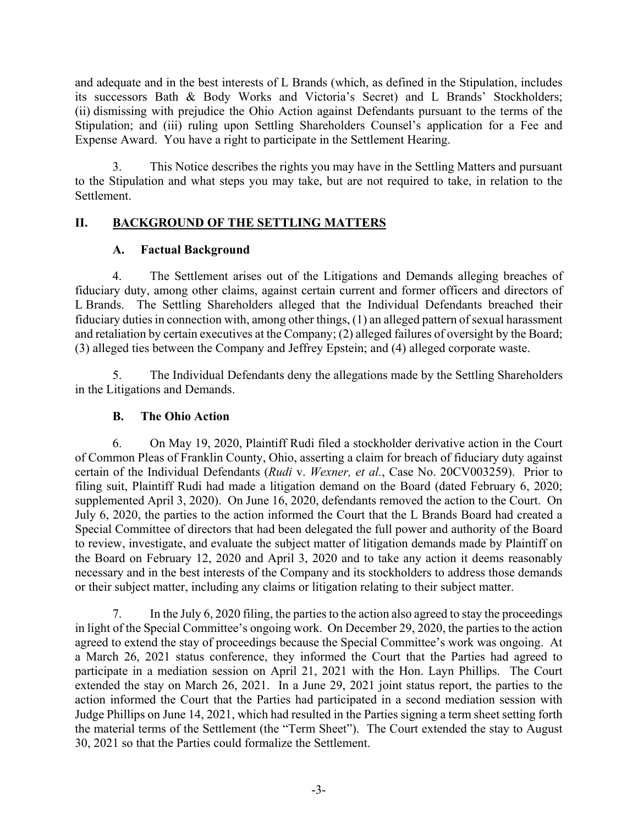and adequate and in the best interests of L Brands (which, as defined in the Stipulation, includes its successors Bath & Body Works and Victoria's Secret) and L Brands' Stockholders; (ii) dismissing with prejudice the Ohio Action against Defendants pursuant to the terms of the Stipulation; and (iii) ruling upon Settling Shareholders Counsel's application for a Fee and Expense Award. You have a right to participate in the Settlement Hearing.

3. This Notice describes the rights you may have in the Settling Matters and pursuant to the Stipulation and what steps you may take, but are not required to take, in relation to the Settlement.

# **II. BACKGROUND OF THE SETTLING MATTERS**

# **A. Factual Background**

4. The Settlement arises out of the Litigations and Demands alleging breaches of fiduciary duty, among other claims, against certain current and former officers and directors of L Brands. The Settling Shareholders alleged that the Individual Defendants breached their fiduciary duties in connection with, among other things, (1) an alleged pattern of sexual harassment and retaliation by certain executives at the Company; (2) alleged failures of oversight by the Board; (3) alleged ties between the Company and Jeffrey Epstein; and (4) alleged corporate waste.

5. The Individual Defendants deny the allegations made by the Settling Shareholders in the Litigations and Demands.

# **B. The Ohio Action**

6. On May 19, 2020, Plaintiff Rudi filed a stockholder derivative action in the Court of Common Pleas of Franklin County, Ohio, asserting a claim for breach of fiduciary duty against certain of the Individual Defendants (*Rudi* v. *Wexner, et al.*, Case No. 20CV003259). Prior to filing suit, Plaintiff Rudi had made a litigation demand on the Board (dated February 6, 2020; supplemented April 3, 2020). On June 16, 2020, defendants removed the action to the Court. On July 6, 2020, the parties to the action informed the Court that the L Brands Board had created a Special Committee of directors that had been delegated the full power and authority of the Board to review, investigate, and evaluate the subject matter of litigation demands made by Plaintiff on the Board on February 12, 2020 and April 3, 2020 and to take any action it deems reasonably necessary and in the best interests of the Company and its stockholders to address those demands or their subject matter, including any claims or litigation relating to their subject matter.

7. In the July 6, 2020 filing, the parties to the action also agreed to stay the proceedings in light of the Special Committee's ongoing work. On December 29, 2020, the parties to the action agreed to extend the stay of proceedings because the Special Committee's work was ongoing. At a March 26, 2021 status conference, they informed the Court that the Parties had agreed to participate in a mediation session on April 21, 2021 with the Hon. Layn Phillips. The Court extended the stay on March 26, 2021. In a June 29, 2021 joint status report, the parties to the action informed the Court that the Parties had participated in a second mediation session with Judge Phillips on June 14, 2021, which had resulted in the Parties signing a term sheet setting forth the material terms of the Settlement (the "Term Sheet"). The Court extended the stay to August 30, 2021 so that the Parties could formalize the Settlement.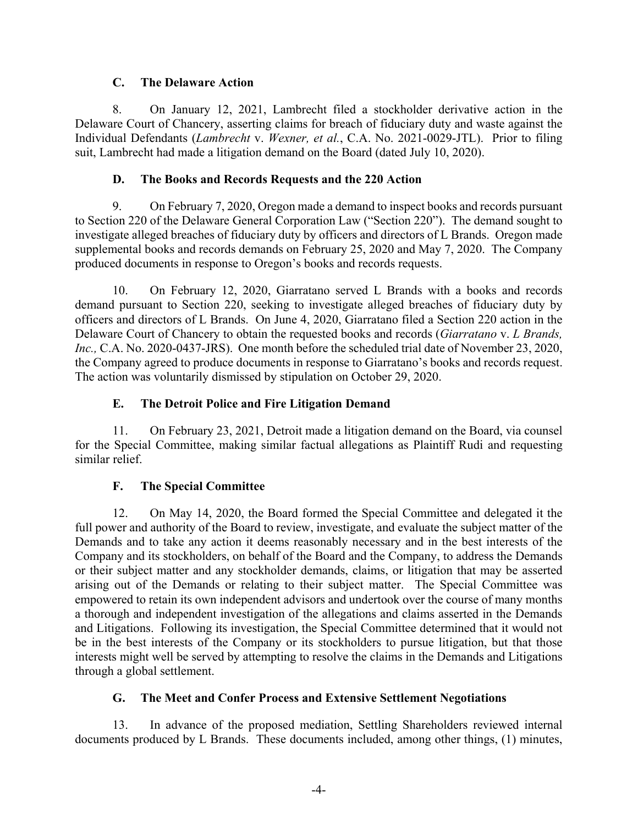#### **C. The Delaware Action**

8. On January 12, 2021, Lambrecht filed a stockholder derivative action in the Delaware Court of Chancery, asserting claims for breach of fiduciary duty and waste against the Individual Defendants (*Lambrecht* v. *Wexner, et al.*, C.A. No. 2021-0029-JTL). Prior to filing suit, Lambrecht had made a litigation demand on the Board (dated July 10, 2020).

### **D. The Books and Records Requests and the 220 Action**

9. On February 7, 2020, Oregon made a demand to inspect books and records pursuant to Section 220 of the Delaware General Corporation Law ("Section 220"). The demand sought to investigate alleged breaches of fiduciary duty by officers and directors of L Brands. Oregon made supplemental books and records demands on February 25, 2020 and May 7, 2020. The Company produced documents in response to Oregon's books and records requests.

10. On February 12, 2020, Giarratano served L Brands with a books and records demand pursuant to Section 220, seeking to investigate alleged breaches of fiduciary duty by officers and directors of L Brands. On June 4, 2020, Giarratano filed a Section 220 action in the Delaware Court of Chancery to obtain the requested books and records (*Giarratano* v. *L Brands, Inc.,* C.A. No. 2020-0437-JRS). One month before the scheduled trial date of November 23, 2020, the Company agreed to produce documents in response to Giarratano's books and records request. The action was voluntarily dismissed by stipulation on October 29, 2020.

## **E. The Detroit Police and Fire Litigation Demand**

11. On February 23, 2021, Detroit made a litigation demand on the Board, via counsel for the Special Committee, making similar factual allegations as Plaintiff Rudi and requesting similar relief.

## **F. The Special Committee**

12. On May 14, 2020, the Board formed the Special Committee and delegated it the full power and authority of the Board to review, investigate, and evaluate the subject matter of the Demands and to take any action it deems reasonably necessary and in the best interests of the Company and its stockholders, on behalf of the Board and the Company, to address the Demands or their subject matter and any stockholder demands, claims, or litigation that may be asserted arising out of the Demands or relating to their subject matter. The Special Committee was empowered to retain its own independent advisors and undertook over the course of many months a thorough and independent investigation of the allegations and claims asserted in the Demands and Litigations. Following its investigation, the Special Committee determined that it would not be in the best interests of the Company or its stockholders to pursue litigation, but that those interests might well be served by attempting to resolve the claims in the Demands and Litigations through a global settlement.

## **G. The Meet and Confer Process and Extensive Settlement Negotiations**

13. In advance of the proposed mediation, Settling Shareholders reviewed internal documents produced by L Brands. These documents included, among other things, (1) minutes,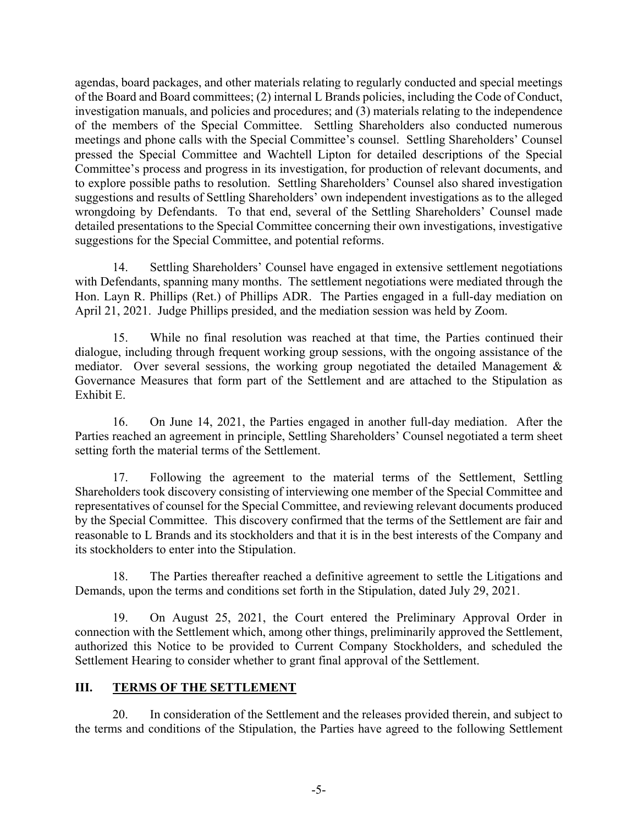agendas, board packages, and other materials relating to regularly conducted and special meetings of the Board and Board committees; (2) internal L Brands policies, including the Code of Conduct, investigation manuals, and policies and procedures; and (3) materials relating to the independence of the members of the Special Committee. Settling Shareholders also conducted numerous meetings and phone calls with the Special Committee's counsel. Settling Shareholders' Counsel pressed the Special Committee and Wachtell Lipton for detailed descriptions of the Special Committee's process and progress in its investigation, for production of relevant documents, and to explore possible paths to resolution. Settling Shareholders' Counsel also shared investigation suggestions and results of Settling Shareholders' own independent investigations as to the alleged wrongdoing by Defendants. To that end, several of the Settling Shareholders' Counsel made detailed presentations to the Special Committee concerning their own investigations, investigative suggestions for the Special Committee, and potential reforms.

14. Settling Shareholders' Counsel have engaged in extensive settlement negotiations with Defendants, spanning many months. The settlement negotiations were mediated through the Hon. Layn R. Phillips (Ret.) of Phillips ADR. The Parties engaged in a full-day mediation on April 21, 2021. Judge Phillips presided, and the mediation session was held by Zoom.

15. While no final resolution was reached at that time, the Parties continued their dialogue, including through frequent working group sessions, with the ongoing assistance of the mediator. Over several sessions, the working group negotiated the detailed Management & Governance Measures that form part of the Settlement and are attached to the Stipulation as Exhibit E.

16. On June 14, 2021, the Parties engaged in another full-day mediation. After the Parties reached an agreement in principle, Settling Shareholders' Counsel negotiated a term sheet setting forth the material terms of the Settlement.

17. Following the agreement to the material terms of the Settlement, Settling Shareholders took discovery consisting of interviewing one member of the Special Committee and representatives of counsel for the Special Committee, and reviewing relevant documents produced by the Special Committee. This discovery confirmed that the terms of the Settlement are fair and reasonable to L Brands and its stockholders and that it is in the best interests of the Company and its stockholders to enter into the Stipulation.

18. The Parties thereafter reached a definitive agreement to settle the Litigations and Demands, upon the terms and conditions set forth in the Stipulation, dated July 29, 2021.

19. On August 25, 2021, the Court entered the Preliminary Approval Order in connection with the Settlement which, among other things, preliminarily approved the Settlement, authorized this Notice to be provided to Current Company Stockholders, and scheduled the Settlement Hearing to consider whether to grant final approval of the Settlement.

## **III. TERMS OF THE SETTLEMENT**

20. In consideration of the Settlement and the releases provided therein, and subject to the terms and conditions of the Stipulation, the Parties have agreed to the following Settlement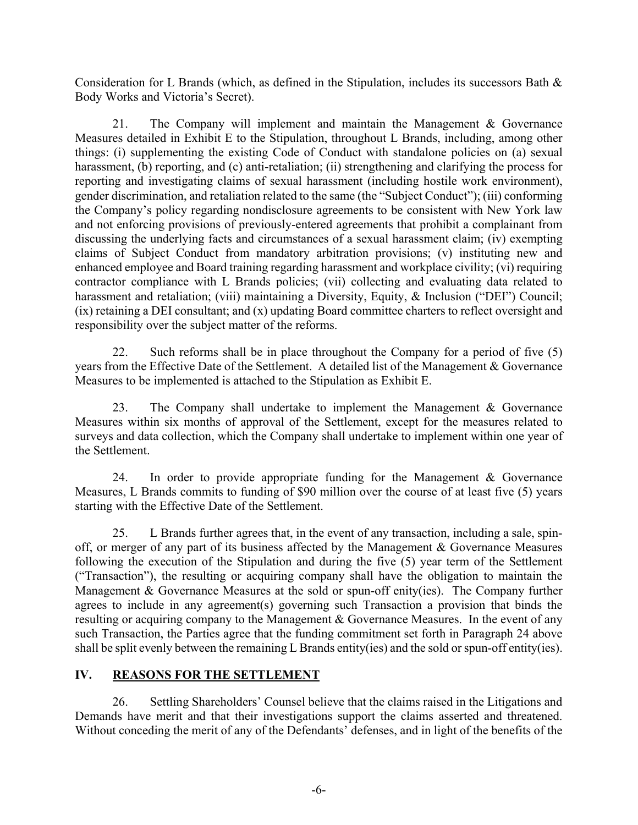Consideration for L Brands (which, as defined in the Stipulation, includes its successors Bath & Body Works and Victoria's Secret).

21. The Company will implement and maintain the Management & Governance Measures detailed in Exhibit E to the Stipulation, throughout L Brands, including, among other things: (i) supplementing the existing Code of Conduct with standalone policies on (a) sexual harassment, (b) reporting, and (c) anti-retaliation; (ii) strengthening and clarifying the process for reporting and investigating claims of sexual harassment (including hostile work environment), gender discrimination, and retaliation related to the same (the "Subject Conduct"); (iii) conforming the Company's policy regarding nondisclosure agreements to be consistent with New York law and not enforcing provisions of previously-entered agreements that prohibit a complainant from discussing the underlying facts and circumstances of a sexual harassment claim; (iv) exempting claims of Subject Conduct from mandatory arbitration provisions; (v) instituting new and enhanced employee and Board training regarding harassment and workplace civility; (vi) requiring contractor compliance with L Brands policies; (vii) collecting and evaluating data related to harassment and retaliation; (viii) maintaining a Diversity, Equity, & Inclusion ("DEI") Council; (ix) retaining a DEI consultant; and (x) updating Board committee charters to reflect oversight and responsibility over the subject matter of the reforms.

22. Such reforms shall be in place throughout the Company for a period of five (5) years from the Effective Date of the Settlement. A detailed list of the Management & Governance Measures to be implemented is attached to the Stipulation as Exhibit E.

23. The Company shall undertake to implement the Management & Governance Measures within six months of approval of the Settlement, except for the measures related to surveys and data collection, which the Company shall undertake to implement within one year of the Settlement.

24. In order to provide appropriate funding for the Management & Governance Measures, L Brands commits to funding of \$90 million over the course of at least five (5) years starting with the Effective Date of the Settlement.

25. L Brands further agrees that, in the event of any transaction, including a sale, spinoff, or merger of any part of its business affected by the Management & Governance Measures following the execution of the Stipulation and during the five (5) year term of the Settlement ("Transaction"), the resulting or acquiring company shall have the obligation to maintain the Management & Governance Measures at the sold or spun-off enity(ies). The Company further agrees to include in any agreement(s) governing such Transaction a provision that binds the resulting or acquiring company to the Management & Governance Measures. In the event of any such Transaction, the Parties agree that the funding commitment set forth in Paragraph 24 above shall be split evenly between the remaining L Brands entity(ies) and the sold or spun-off entity(ies).

## IV. REASONS FOR THE SETTLEMENT

26. Settling Shareholders' Counsel believe that the claims raised in the Litigations and Demands have merit and that their investigations support the claims asserted and threatened. Without conceding the merit of any of the Defendants' defenses, and in light of the benefits of the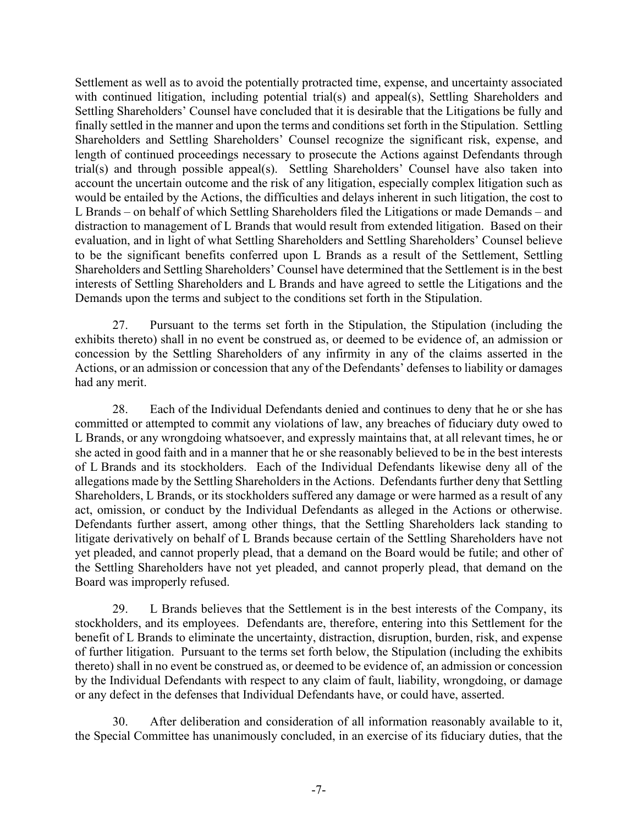Settlement as well as to avoid the potentially protracted time, expense, and uncertainty associated with continued litigation, including potential trial(s) and appeal(s), Settling Shareholders and Settling Shareholders' Counsel have concluded that it is desirable that the Litigations be fully and finally settled in the manner and upon the terms and conditions set forth in the Stipulation. Settling Shareholders and Settling Shareholders' Counsel recognize the significant risk, expense, and length of continued proceedings necessary to prosecute the Actions against Defendants through trial(s) and through possible appeal(s). Settling Shareholders' Counsel have also taken into account the uncertain outcome and the risk of any litigation, especially complex litigation such as would be entailed by the Actions, the difficulties and delays inherent in such litigation, the cost to L Brands – on behalf of which Settling Shareholders filed the Litigations or made Demands – and distraction to management of L Brands that would result from extended litigation. Based on their evaluation, and in light of what Settling Shareholders and Settling Shareholders' Counsel believe to be the significant benefits conferred upon L Brands as a result of the Settlement, Settling Shareholders and Settling Shareholders' Counsel have determined that the Settlement is in the best interests of Settling Shareholders and L Brands and have agreed to settle the Litigations and the Demands upon the terms and subject to the conditions set forth in the Stipulation.

27. Pursuant to the terms set forth in the Stipulation, the Stipulation (including the exhibits thereto) shall in no event be construed as, or deemed to be evidence of, an admission or concession by the Settling Shareholders of any infirmity in any of the claims asserted in the Actions, or an admission or concession that any of the Defendants' defenses to liability or damages had any merit.

28. Each of the Individual Defendants denied and continues to deny that he or she has committed or attempted to commit any violations of law, any breaches of fiduciary duty owed to L Brands, or any wrongdoing whatsoever, and expressly maintains that, at all relevant times, he or she acted in good faith and in a manner that he or she reasonably believed to be in the best interests of L Brands and its stockholders. Each of the Individual Defendants likewise deny all of the allegations made by the Settling Shareholders in the Actions. Defendants further deny that Settling Shareholders, L Brands, or its stockholders suffered any damage or were harmed as a result of any act, omission, or conduct by the Individual Defendants as alleged in the Actions or otherwise. Defendants further assert, among other things, that the Settling Shareholders lack standing to litigate derivatively on behalf of L Brands because certain of the Settling Shareholders have not yet pleaded, and cannot properly plead, that a demand on the Board would be futile; and other of the Settling Shareholders have not yet pleaded, and cannot properly plead, that demand on the Board was improperly refused.

29. L Brands believes that the Settlement is in the best interests of the Company, its stockholders, and its employees. Defendants are, therefore, entering into this Settlement for the benefit of L Brands to eliminate the uncertainty, distraction, disruption, burden, risk, and expense of further litigation. Pursuant to the terms set forth below, the Stipulation (including the exhibits thereto) shall in no event be construed as, or deemed to be evidence of, an admission or concession by the Individual Defendants with respect to any claim of fault, liability, wrongdoing, or damage or any defect in the defenses that Individual Defendants have, or could have, asserted.

30. After deliberation and consideration of all information reasonably available to it, the Special Committee has unanimously concluded, in an exercise of its fiduciary duties, that the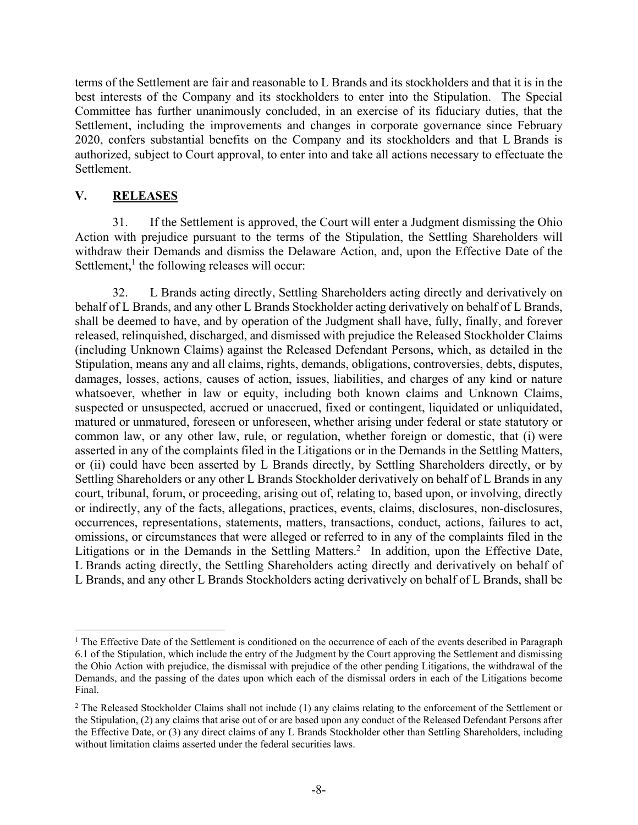terms of the Settlement are fair and reasonable to L Brands and its stockholders and that it is in the best interests of the Company and its stockholders to enter into the Stipulation. The Special Committee has further unanimously concluded, in an exercise of its fiduciary duties, that the Settlement, including the improvements and changes in corporate governance since February 2020, confers substantial benefits on the Company and its stockholders and that L Brands is authorized, subject to Court approval, to enter into and take all actions necessary to effectuate the Settlement.

#### **V. RELEASES**

 $\overline{a}$ 

31. If the Settlement is approved, the Court will enter a Judgment dismissing the Ohio Action with prejudice pursuant to the terms of the Stipulation, the Settling Shareholders will withdraw their Demands and dismiss the Delaware Action, and, upon the Effective Date of the Settlement, $<sup>1</sup>$  the following releases will occur:</sup>

32. L Brands acting directly, Settling Shareholders acting directly and derivatively on behalf of L Brands, and any other L Brands Stockholder acting derivatively on behalf of L Brands, shall be deemed to have, and by operation of the Judgment shall have, fully, finally, and forever released, relinquished, discharged, and dismissed with prejudice the Released Stockholder Claims (including Unknown Claims) against the Released Defendant Persons, which, as detailed in the Stipulation, means any and all claims, rights, demands, obligations, controversies, debts, disputes, damages, losses, actions, causes of action, issues, liabilities, and charges of any kind or nature whatsoever, whether in law or equity, including both known claims and Unknown Claims, suspected or unsuspected, accrued or unaccrued, fixed or contingent, liquidated or unliquidated, matured or unmatured, foreseen or unforeseen, whether arising under federal or state statutory or common law, or any other law, rule, or regulation, whether foreign or domestic, that (i) were asserted in any of the complaints filed in the Litigations or in the Demands in the Settling Matters, or (ii) could have been asserted by L Brands directly, by Settling Shareholders directly, or by Settling Shareholders or any other L Brands Stockholder derivatively on behalf of L Brands in any court, tribunal, forum, or proceeding, arising out of, relating to, based upon, or involving, directly or indirectly, any of the facts, allegations, practices, events, claims, disclosures, non-disclosures, occurrences, representations, statements, matters, transactions, conduct, actions, failures to act, omissions, or circumstances that were alleged or referred to in any of the complaints filed in the Litigations or in the Demands in the Settling Matters.<sup>2</sup> In addition, upon the Effective Date, L Brands acting directly, the Settling Shareholders acting directly and derivatively on behalf of L Brands, and any other L Brands Stockholders acting derivatively on behalf of L Brands, shall be

<sup>&</sup>lt;sup>1</sup> The Effective Date of the Settlement is conditioned on the occurrence of each of the events described in Paragraph 6.1 of the Stipulation, which include the entry of the Judgment by the Court approving the Settlement and dismissing the Ohio Action with prejudice, the dismissal with prejudice of the other pending Litigations, the withdrawal of the Demands, and the passing of the dates upon which each of the dismissal orders in each of the Litigations become Final.

 $2$  The Released Stockholder Claims shall not include (1) any claims relating to the enforcement of the Settlement or the Stipulation, (2) any claims that arise out of or are based upon any conduct of the Released Defendant Persons after the Effective Date, or (3) any direct claims of any L Brands Stockholder other than Settling Shareholders, including without limitation claims asserted under the federal securities laws.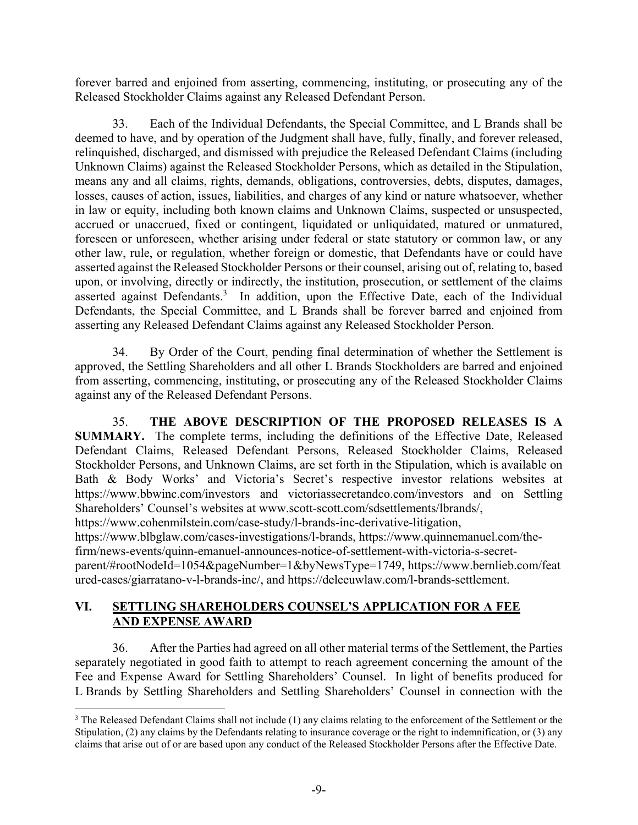forever barred and enjoined from asserting, commencing, instituting, or prosecuting any of the Released Stockholder Claims against any Released Defendant Person.

33. Each of the Individual Defendants, the Special Committee, and L Brands shall be deemed to have, and by operation of the Judgment shall have, fully, finally, and forever released, relinquished, discharged, and dismissed with prejudice the Released Defendant Claims (including Unknown Claims) against the Released Stockholder Persons, which as detailed in the Stipulation, means any and all claims, rights, demands, obligations, controversies, debts, disputes, damages, losses, causes of action, issues, liabilities, and charges of any kind or nature whatsoever, whether in law or equity, including both known claims and Unknown Claims, suspected or unsuspected, accrued or unaccrued, fixed or contingent, liquidated or unliquidated, matured or unmatured, foreseen or unforeseen, whether arising under federal or state statutory or common law, or any other law, rule, or regulation, whether foreign or domestic, that Defendants have or could have asserted against the Released Stockholder Persons or their counsel, arising out of, relating to, based upon, or involving, directly or indirectly, the institution, prosecution, or settlement of the claims asserted against Defendants.<sup>3</sup> In addition, upon the Effective Date, each of the Individual Defendants, the Special Committee, and L Brands shall be forever barred and enjoined from asserting any Released Defendant Claims against any Released Stockholder Person.

34. By Order of the Court, pending final determination of whether the Settlement is approved, the Settling Shareholders and all other L Brands Stockholders are barred and enjoined from asserting, commencing, instituting, or prosecuting any of the Released Stockholder Claims against any of the Released Defendant Persons.

35. **THE ABOVE DESCRIPTION OF THE PROPOSED RELEASES IS A SUMMARY.** The complete terms, including the definitions of the Effective Date, Released Defendant Claims, Released Defendant Persons, Released Stockholder Claims, Released Stockholder Persons, and Unknown Claims, are set forth in the Stipulation, which is available on Bath & Body Works' and Victoria's Secret's respective investor relations websites at https://www.bbwinc.com/investors and victoriassecretandco.com/investors and on Settling Shareholders' Counsel's websites at www.scott-scott.com/sdsettlements/lbrands/,

https://www.cohenmilstein.com/case-study/l-brands-inc-derivative-litigation,

<u>.</u>

https://www.blbglaw.com/cases-investigations/l-brands, https://www.quinnemanuel.com/the-

firm/news-events/quinn-emanuel-announces-notice-of-settlement-with-victoria-s-secret-

parent/#rootNodeId=1054&pageNumber=1&byNewsType=1749, https://www.bernlieb.com/feat ured-cases/giarratano-v-l-brands-inc/, and https://deleeuwlaw.com/l-brands-settlement.

## **VI. SETTLING SHAREHOLDERS COUNSEL'S APPLICATION FOR A FEE AND EXPENSE AWARD**

36. After the Parties had agreed on all other material terms of the Settlement, the Parties separately negotiated in good faith to attempt to reach agreement concerning the amount of the Fee and Expense Award for Settling Shareholders' Counsel. In light of benefits produced for L Brands by Settling Shareholders and Settling Shareholders' Counsel in connection with the

 $3$  The Released Defendant Claims shall not include  $(1)$  any claims relating to the enforcement of the Settlement or the Stipulation, (2) any claims by the Defendants relating to insurance coverage or the right to indemnification, or (3) any claims that arise out of or are based upon any conduct of the Released Stockholder Persons after the Effective Date.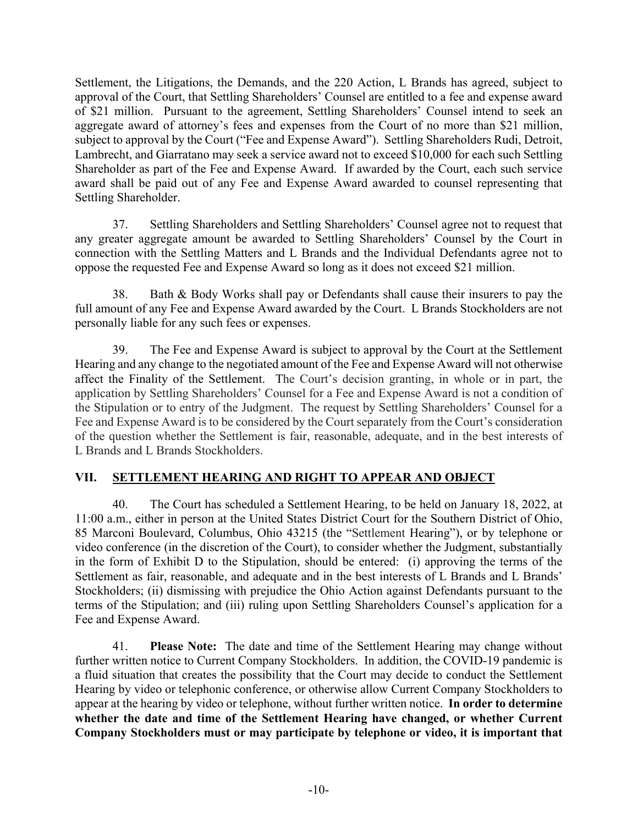Settlement, the Litigations, the Demands, and the 220 Action, L Brands has agreed, subject to approval of the Court, that Settling Shareholders' Counsel are entitled to a fee and expense award of \$21 million. Pursuant to the agreement, Settling Shareholders' Counsel intend to seek an aggregate award of attorney's fees and expenses from the Court of no more than \$21 million, subject to approval by the Court ("Fee and Expense Award"). Settling Shareholders Rudi, Detroit, Lambrecht, and Giarratano may seek a service award not to exceed \$10,000 for each such Settling Shareholder as part of the Fee and Expense Award. If awarded by the Court, each such service award shall be paid out of any Fee and Expense Award awarded to counsel representing that Settling Shareholder.

37. Settling Shareholders and Settling Shareholders' Counsel agree not to request that any greater aggregate amount be awarded to Settling Shareholders' Counsel by the Court in connection with the Settling Matters and L Brands and the Individual Defendants agree not to oppose the requested Fee and Expense Award so long as it does not exceed \$21 million.

38. Bath & Body Works shall pay or Defendants shall cause their insurers to pay the full amount of any Fee and Expense Award awarded by the Court. L Brands Stockholders are not personally liable for any such fees or expenses.

39. The Fee and Expense Award is subject to approval by the Court at the Settlement Hearing and any change to the negotiated amount of the Fee and Expense Award will not otherwise affect the Finality of the Settlement. The Court's decision granting, in whole or in part, the application by Settling Shareholders' Counsel for a Fee and Expense Award is not a condition of the Stipulation or to entry of the Judgment. The request by Settling Shareholders' Counsel for a Fee and Expense Award is to be considered by the Court separately from the Court's consideration of the question whether the Settlement is fair, reasonable, adequate, and in the best interests of L Brands and L Brands Stockholders.

# **VII. SETTLEMENT HEARING AND RIGHT TO APPEAR AND OBJECT**

40. The Court has scheduled a Settlement Hearing, to be held on January 18, 2022, at 11:00 a.m., either in person at the United States District Court for the Southern District of Ohio, 85 Marconi Boulevard, Columbus, Ohio 43215 (the "Settlement Hearing"), or by telephone or video conference (in the discretion of the Court), to consider whether the Judgment, substantially in the form of Exhibit D to the Stipulation, should be entered: (i) approving the terms of the Settlement as fair, reasonable, and adequate and in the best interests of L Brands and L Brands' Stockholders; (ii) dismissing with prejudice the Ohio Action against Defendants pursuant to the terms of the Stipulation; and (iii) ruling upon Settling Shareholders Counsel's application for a Fee and Expense Award.

41. **Please Note:** The date and time of the Settlement Hearing may change without further written notice to Current Company Stockholders. In addition, the COVID-19 pandemic is a fluid situation that creates the possibility that the Court may decide to conduct the Settlement Hearing by video or telephonic conference, or otherwise allow Current Company Stockholders to appear at the hearing by video or telephone, without further written notice. **In order to determine whether the date and time of the Settlement Hearing have changed, or whether Current Company Stockholders must or may participate by telephone or video, it is important that**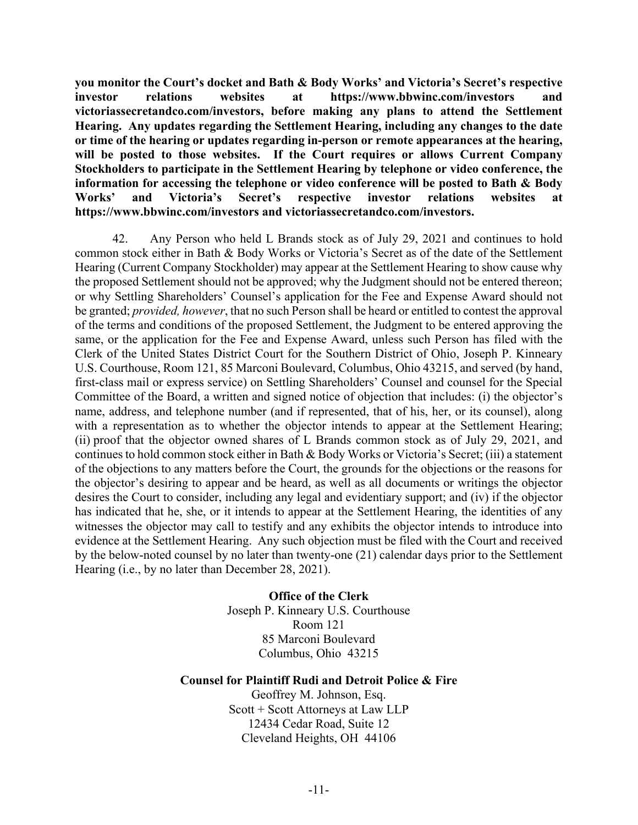**you monitor the Court's docket and Bath & Body Works' and Victoria's Secret's respective investor relations websites at https://www.bbwinc.com/investors and victoriassecretandco.com/investors, before making any plans to attend the Settlement Hearing. Any updates regarding the Settlement Hearing, including any changes to the date or time of the hearing or updates regarding in-person or remote appearances at the hearing, will be posted to those websites. If the Court requires or allows Current Company Stockholders to participate in the Settlement Hearing by telephone or video conference, the information for accessing the telephone or video conference will be posted to Bath & Body Works' and Victoria's Secret's respective investor relations websites at https://www.bbwinc.com/investors and victoriassecretandco.com/investors.**

42. Any Person who held L Brands stock as of July 29, 2021 and continues to hold common stock either in Bath & Body Works or Victoria's Secret as of the date of the Settlement Hearing (Current Company Stockholder) may appear at the Settlement Hearing to show cause why the proposed Settlement should not be approved; why the Judgment should not be entered thereon; or why Settling Shareholders' Counsel's application for the Fee and Expense Award should not be granted; *provided, however*, that no such Person shall be heard or entitled to contest the approval of the terms and conditions of the proposed Settlement, the Judgment to be entered approving the same, or the application for the Fee and Expense Award, unless such Person has filed with the Clerk of the United States District Court for the Southern District of Ohio, Joseph P. Kinneary U.S. Courthouse, Room 121, 85 Marconi Boulevard, Columbus, Ohio 43215, and served (by hand, first-class mail or express service) on Settling Shareholders' Counsel and counsel for the Special Committee of the Board, a written and signed notice of objection that includes: (i) the objector's name, address, and telephone number (and if represented, that of his, her, or its counsel), along with a representation as to whether the objector intends to appear at the Settlement Hearing; (ii) proof that the objector owned shares of L Brands common stock as of July 29, 2021, and continues to hold common stock either in Bath & Body Works or Victoria's Secret; (iii) a statement of the objections to any matters before the Court, the grounds for the objections or the reasons for the objector's desiring to appear and be heard, as well as all documents or writings the objector desires the Court to consider, including any legal and evidentiary support; and (iv) if the objector has indicated that he, she, or it intends to appear at the Settlement Hearing, the identities of any witnesses the objector may call to testify and any exhibits the objector intends to introduce into evidence at the Settlement Hearing. Any such objection must be filed with the Court and received by the below-noted counsel by no later than twenty-one (21) calendar days prior to the Settlement Hearing (i.e., by no later than December 28, 2021).

> **Office of the Clerk**  Joseph P. Kinneary U.S. Courthouse Room 121 85 Marconi Boulevard Columbus, Ohio 43215

#### **Counsel for Plaintiff Rudi and Detroit Police & Fire**

Geoffrey M. Johnson, Esq. Scott + Scott Attorneys at Law LLP 12434 Cedar Road, Suite 12 Cleveland Heights, OH 44106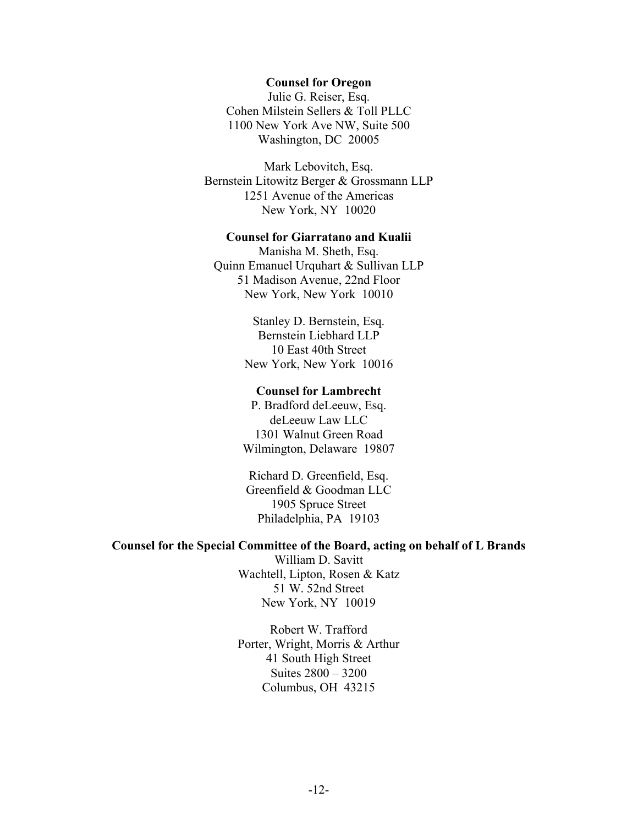#### **Counsel for Oregon**

Julie G. Reiser, Esq. Cohen Milstein Sellers & Toll PLLC 1100 New York Ave NW, Suite 500 Washington, DC 20005

Mark Lebovitch, Esq. Bernstein Litowitz Berger & Grossmann LLP 1251 Avenue of the Americas New York, NY 10020

#### **Counsel for Giarratano and Kualii**

Manisha M. Sheth, Esq. Quinn Emanuel Urquhart & Sullivan LLP 51 Madison Avenue, 22nd Floor New York, New York 10010

> Stanley D. Bernstein, Esq. Bernstein Liebhard LLP 10 East 40th Street New York, New York 10016

#### **Counsel for Lambrecht**

P. Bradford deLeeuw, Esq. deLeeuw Law LLC 1301 Walnut Green Road Wilmington, Delaware 19807

Richard D. Greenfield, Esq. Greenfield & Goodman LLC 1905 Spruce Street Philadelphia, PA 19103

#### **Counsel for the Special Committee of the Board, acting on behalf of L Brands**

William D. Savitt Wachtell, Lipton, Rosen & Katz 51 W. 52nd Street New York, NY 10019

Robert W. Trafford Porter, Wright, Morris & Arthur 41 South High Street Suites 2800 – 3200 Columbus, OH 43215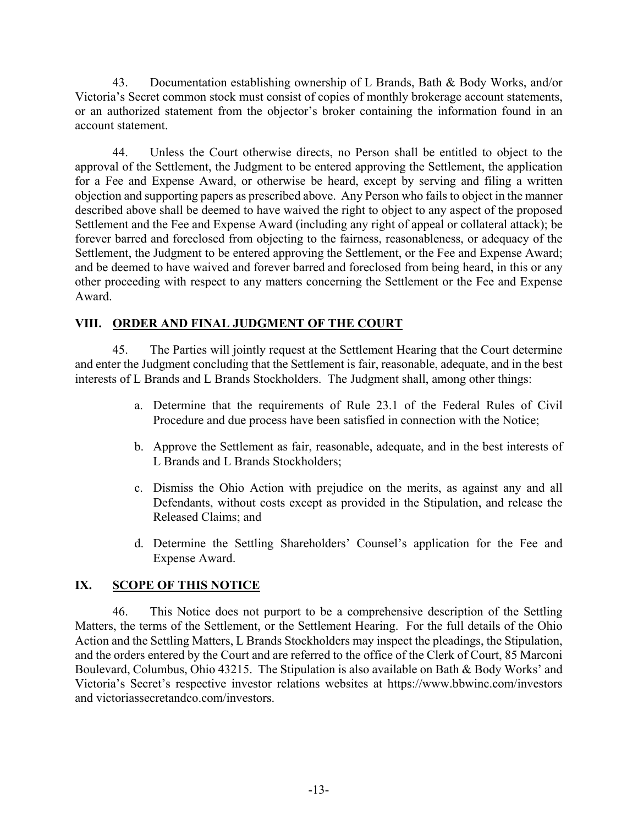43. Documentation establishing ownership of L Brands, Bath & Body Works, and/or Victoria's Secret common stock must consist of copies of monthly brokerage account statements, or an authorized statement from the objector's broker containing the information found in an account statement.

44. Unless the Court otherwise directs, no Person shall be entitled to object to the approval of the Settlement, the Judgment to be entered approving the Settlement, the application for a Fee and Expense Award, or otherwise be heard, except by serving and filing a written objection and supporting papers as prescribed above. Any Person who fails to object in the manner described above shall be deemed to have waived the right to object to any aspect of the proposed Settlement and the Fee and Expense Award (including any right of appeal or collateral attack); be forever barred and foreclosed from objecting to the fairness, reasonableness, or adequacy of the Settlement, the Judgment to be entered approving the Settlement, or the Fee and Expense Award; and be deemed to have waived and forever barred and foreclosed from being heard, in this or any other proceeding with respect to any matters concerning the Settlement or the Fee and Expense Award.

## **VIII. ORDER AND FINAL JUDGMENT OF THE COURT**

45. The Parties will jointly request at the Settlement Hearing that the Court determine and enter the Judgment concluding that the Settlement is fair, reasonable, adequate, and in the best interests of L Brands and L Brands Stockholders. The Judgment shall, among other things:

- a. Determine that the requirements of Rule 23.1 of the Federal Rules of Civil Procedure and due process have been satisfied in connection with the Notice;
- b. Approve the Settlement as fair, reasonable, adequate, and in the best interests of L Brands and L Brands Stockholders;
- c. Dismiss the Ohio Action with prejudice on the merits, as against any and all Defendants, without costs except as provided in the Stipulation, and release the Released Claims; and
- d. Determine the Settling Shareholders' Counsel's application for the Fee and Expense Award.

# **IX. SCOPE OF THIS NOTICE**

46. This Notice does not purport to be a comprehensive description of the Settling Matters, the terms of the Settlement, or the Settlement Hearing. For the full details of the Ohio Action and the Settling Matters, L Brands Stockholders may inspect the pleadings, the Stipulation, and the orders entered by the Court and are referred to the office of the Clerk of Court, 85 Marconi Boulevard, Columbus, Ohio 43215. The Stipulation is also available on Bath & Body Works' and Victoria's Secret's respective investor relations websites at https://www.bbwinc.com/investors and victoriassecretandco.com/investors.